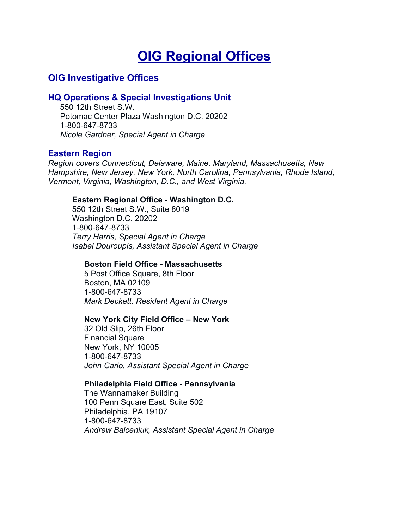# **OIG Regional Offices**

# **OIG Investigative Offices**

# **HQ Operations & Special Investigations Unit**

550 12th Street S.W. Potomac Center Plaza Washington D.C. 20202 1-800-647-8733 *Nicole Gardner, Special Agent in Charge*

# **Eastern Region**

*Region covers Connecticut, Delaware, Maine. Maryland, Massachusetts, New Hampshire, New Jersey, New York, North Carolina, Pennsylvania, Rhode Island, Vermont, Virginia, Washington, D.C., and West Virginia.*

# **Eastern Regional Office - Washington D.C.**

550 12th Street S.W., Suite 8019 Washington D.C. 20202 1-800-647-8733 *Terry Harris, Special Agent in Charge Isabel Douroupis, Assistant Special Agent in Charge*

#### **Boston Field Office - Massachusetts**

5 Post Office Square, 8th Floor Boston, MA 02109 1-800-647-8733 *Mark Deckett, Resident Agent in Charge*

#### **New York City Field Office – New York**

32 Old Slip, 26th Floor Financial Square New York, NY 10005 1-800-647-8733 *John Carlo, Assistant Special Agent in Charge*

#### **Philadelphia Field Office - Pennsylvania**

The Wannamaker Building 100 Penn Square East, Suite 502 Philadelphia, PA 19107 1-800-647-8733 *Andrew Balceniuk, Assistant Special Agent in Charge*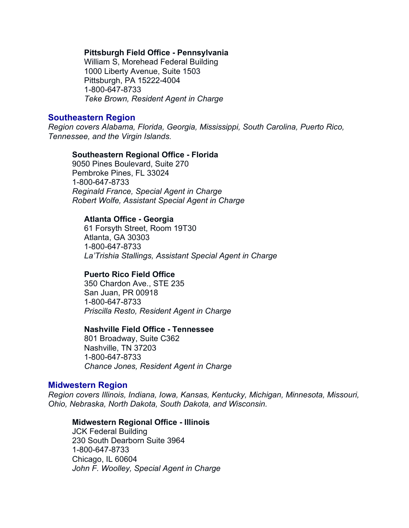#### **Pittsburgh Field Office - Pennsylvania**

William S, Morehead Federal Building 1000 Liberty Avenue, Suite 1503 Pittsburgh, PA 15222-4004 1-800-647-8733 *Teke Brown, Resident Agent in Charge*

# **Southeastern Region**

*Region covers Alabama, Florida, Georgia, Mississippi, South Carolina, Puerto Rico, Tennessee, and the Virgin Islands.*

#### **Southeastern Regional Office - Florida**

9050 Pines Boulevard, Suite 270 Pembroke Pines, FL 33024 1-800-647-8733 *Reginald France, Special Agent in Charge Robert Wolfe, Assistant Special Agent in Charge*

#### **Atlanta Office - Georgia**

61 Forsyth Street, Room 19T30 Atlanta, GA 30303 1-800-647-8733 *La'Trishia Stallings, Assistant Special Agent in Charge* 

# **Puerto Rico Field Office**

350 Chardon Ave., STE 235 San Juan, PR 00918 1-800-647-8733 *Priscilla Resto, Resident Agent in Charge*

#### **Nashville Field Office - Tennessee**

801 Broadway, Suite C362 Nashville, TN 37203 1-800-647-8733 *Chance Jones, Resident Agent in Charge*

#### **Midwestern Region**

*Region covers Illinois, Indiana, Iowa, Kansas, Kentucky, Michigan, Minnesota, Missouri, Ohio, Nebraska, North Dakota, South Dakota, and Wisconsin.*

#### **Midwestern Regional Office - Illinois**

JCK Federal Building 230 South Dearborn Suite 3964 1-800-647-8733 Chicago, IL 60604 *John F. Woolley, Special Agent in Charge*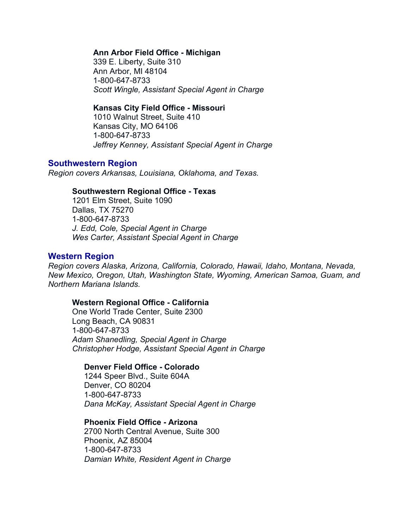# **Ann Arbor Field Office - Michigan**

339 E. Liberty, Suite 310 Ann Arbor, MI 48104 1-800-647-8733 *Scott Wingle, Assistant Special Agent in Charge*

### **Kansas City Field Office - Missouri**

1010 Walnut Street, Suite 410 Kansas City, MO 64106 1-800-647-8733 *Jeffrey Kenney, Assistant Special Agent in Charge*

# **Southwestern Region**

*Region covers Arkansas, Louisiana, Oklahoma, and Texas.*

### **Southwestern Regional Office - Texas**

1201 Elm Street, Suite 1090 Dallas, TX 75270 1-800-647-8733 *J. Edd, Cole, Special Agent in Charge Wes Carter, Assistant Special Agent in Charge*

# **Western Region**

*Region covers Alaska, Arizona, California, Colorado, Hawaii, Idaho, Montana, Nevada, New Mexico, Oregon, Utah, Washington State, Wyoming, American Samoa, Guam, and Northern Mariana Islands.*

#### **Western Regional Office - California**

One World Trade Center, Suite 2300 Long Beach, CA 90831 1-800-647-8733 *Adam Shanedling, Special Agent in Charge Christopher Hodge, Assistant Special Agent in Charge*

#### **Denver Field Office - Colorado**

1244 Speer Blvd., Suite 604A Denver, CO 80204 1-800-647-8733 *Dana McKay, Assistant Special Agent in Charge*

#### **Phoenix Field Office - Arizona**

2700 North Central Avenue, Suite 300 Phoenix, AZ 85004 1-800-647-8733 *Damian White, Resident Agent in Charge*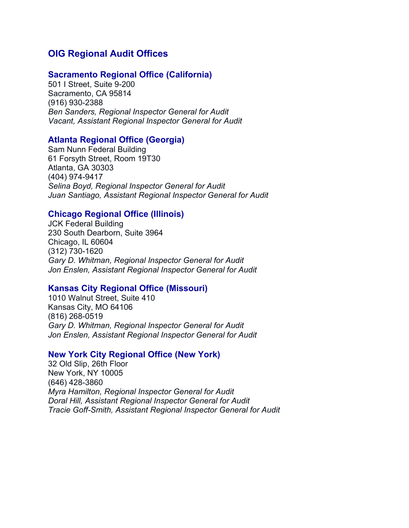# **OIG Regional Audit Offices**

## **Sacramento Regional Office (California)**

501 I Street, Suite 9-200 Sacramento, CA 95814 (916) 930-2388 *Ben Sanders, Regional Inspector General for Audit Vacant, Assistant Regional Inspector General for Audit*

# **Atlanta Regional Office (Georgia)**

Sam Nunn Federal Building 61 Forsyth Street, Room 19T30 Atlanta, GA 30303 (404) 974-9417 *Selina Boyd, Regional Inspector General for Audit Juan Santiago, Assistant Regional Inspector General for Audit*

# **Chicago Regional Office (Illinois)**

JCK Federal Building 230 South Dearborn, Suite 3964 Chicago, IL 60604 (312) 730-1620 *Gary D. Whitman, Regional Inspector General for Audit Jon Enslen, Assistant Regional Inspector General for Audit*

#### **Kansas City Regional Office (Missouri)**

1010 Walnut Street, Suite 410 Kansas City, MO 64106 (816) 268-0519 *Gary D. Whitman, Regional Inspector General for Audit Jon Enslen, Assistant Regional Inspector General for Audit*

# **New York City Regional Office (New York)**

32 Old Slip, 26th Floor New York, NY 10005 (646) 428-3860 *Myra Hamilton, Regional Inspector General for Audit Doral Hill, Assistant Regional Inspector General for Audit Tracie Goff-Smith, Assistant Regional Inspector General for Audit*